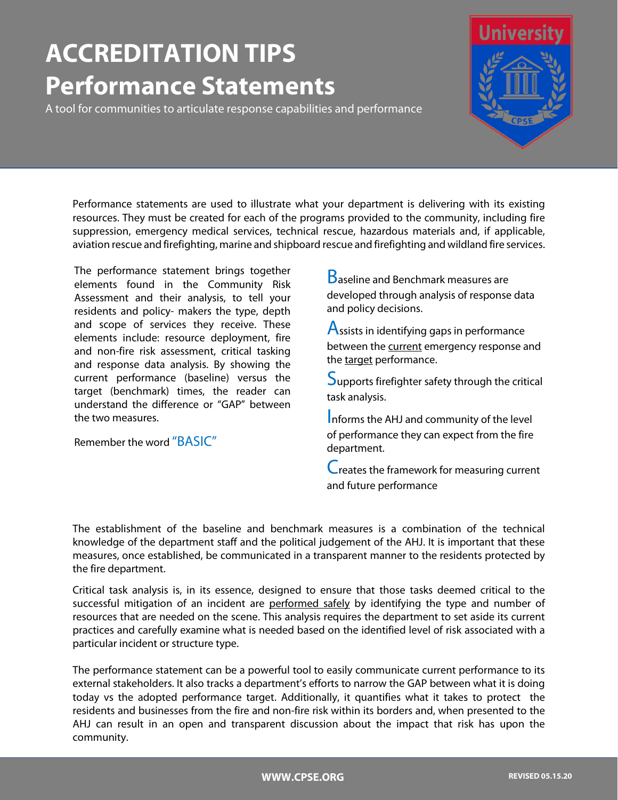# **ACCREDITATION TIPS Performance Statements**

A tool for communities to articulate response capabilities and performance



Performance statements are used to illustrate what your department is delivering with its existing resources. They must be created for each of the programs provided to the community, including fire suppression, emergency medical services, technical rescue, hazardous materials and, if applicable, aviation rescue and firefighting, marine and shipboard rescue and firefighting and wildland fire services.

The performance statement brings together elements found in the Community Risk Assessment and their analysis, to tell your residents and policy- makers the type, depth and scope of services they receive. These elements include: resource deployment, fire and non-fire risk assessment, critical tasking and response data analysis. By showing the current performance (baseline) versus the target (benchmark) times, the reader can understand the difference or "GAP" between the two measures.

Remember the word "BASIC"

**B**aseline and Benchmark measures are developed through analysis of response data and policy decisions.

Assists in identifying gaps in performance between the current emergency response and the target performance.

Supports firefighter safety through the critical task analysis.

Informs the AHJ and community of the level of performance they can expect from the fire department.

Creates the framework for measuring current and future performance

The establishment of the baseline and benchmark measures is a combination of the technical knowledge of the department staff and the political judgement of the AHJ. It is important that these measures, once established, be communicated in a transparent manner to the residents protected by the fire department.

Critical task analysis is, in its essence, designed to ensure that those tasks deemed critical to the successful mitigation of an incident are performed safely by identifying the type and number of resources that are needed on the scene. This analysis requires the department to set aside its current practices and carefully examine what is needed based on the identified level of risk associated with a particular incident or structure type.

The performance statement can be a powerful tool to easily communicate current performance to its external stakeholders. It also tracks a department's efforts to narrow the GAP between what it is doing today vs the adopted performance target. Additionally, it quantifies what it takes to protect the residents and businesses from the fire and non-fire risk within its borders and, when presented to the AHJ can result in an open and transparent discussion about the impact that risk has upon the community.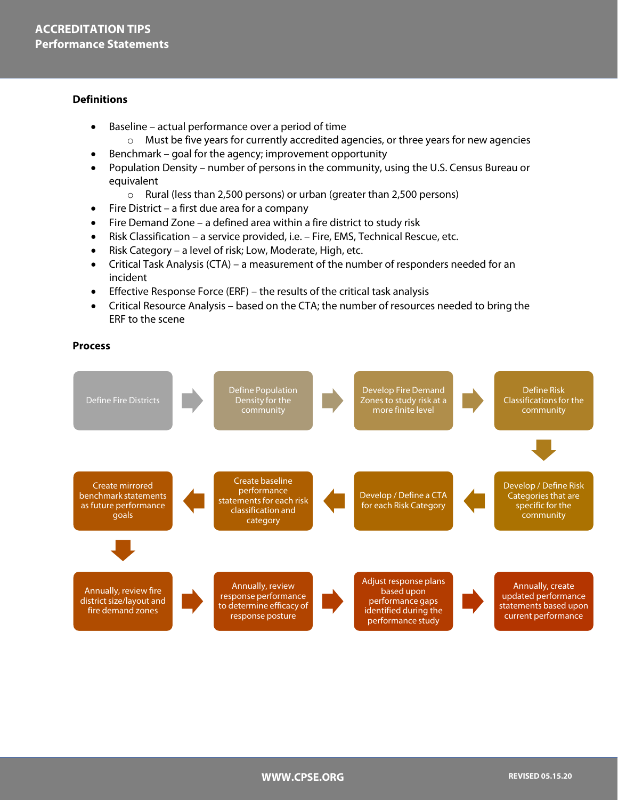### **Definitions**

- Baseline actual performance over a period of time
	- $\circ$  Must be five years for currently accredited agencies, or three years for new agencies
- Benchmark goal for the agency; improvement opportunity
- Population Density number of persons in the community, using the U.S. Census Bureau or equivalent
	- o Rural (less than 2,500 persons) or urban (greater than 2,500 persons)
- Fire District a first due area for a company
- Fire Demand Zone a defined area within a fire district to study risk
- Risk Classification a service provided, i.e. Fire, EMS, Technical Rescue, etc.
- Risk Category a level of risk; Low, Moderate, High, etc.
- Critical Task Analysis (CTA) a measurement of the number of responders needed for an incident
- Effective Response Force (ERF) the results of the critical task analysis
- Critical Resource Analysis based on the CTA; the number of resources needed to bring the ERF to the scene

#### **Process**

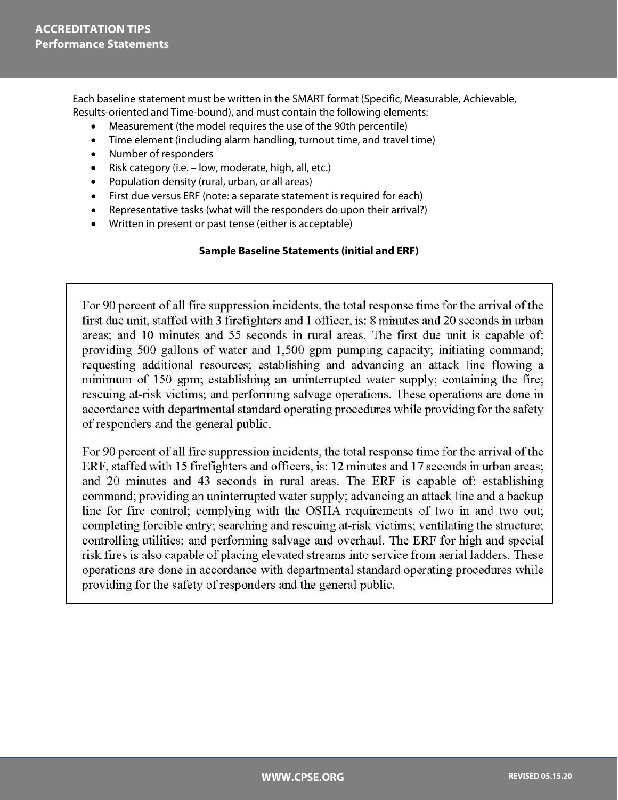Each baseline statement must be written in the SMART format (Specific, Measurable, Achievable, Results-oriented and Time-bound), and must contain the following elements:

- Measurement (the model requires the use of the 90th percentile)
- Time element (including alarm handling, turnout time, and travel time)
- Number of responders
- Risk category (i.e. low, moderate, high, all, etc.)
- Population density (rural, urban, or all areas)
- First due versus ERF (note: a separate statement is required for each)
- Representative tasks (what will the responders do upon their arrival?)
- Written in present or past tense (either is acceptable)

## **Sample Baseline Statements (initial and ERF)**

For 90 percent of all fire suppression incidents, the total response time for the arrival of the first due unit, staffed with 3 firefighters and 1 officer, is: 8 minutes and 20 seconds in urban areas; and 10 minutes and 55 seconds in rural areas. The first due unit is capable of: providing 500 gallons of water and 1,500 gpm pumping capacity; initiating command; requesting additional resources; establishing and advancing an attack line flowing a minimum of 150 gpm; establishing an uninterrupted water supply; containing the fire; rescuing at-risk victims; and performing salvage operations. These operations are done in accordance with departmental standard operating procedures while providing for the safety of responders and the general public.

For 90 percent of all fire suppression incidents, the total response time for the arrival of the ERF, staffed with 15 firefighters and officers, is: 12 minutes and 17 seconds in urban areas; and 20 minutes and 43 seconds in rural areas. The ERF is capable of: establishing command; providing an uninterrupted water supply; advancing an attack line and a backup line for fire control; complying with the OSHA requirements of two in and two out; completing forcible entry; searching and rescuing at-risk victims; ventilating the structure; controlling utilities; and performing salvage and overhaul. The ERF for high and special risk fires is also capable of placing elevated streams into service from aerial ladders. These operations are done in accordance with departmental standard operating procedures while providing for the safety of responders and the general public.